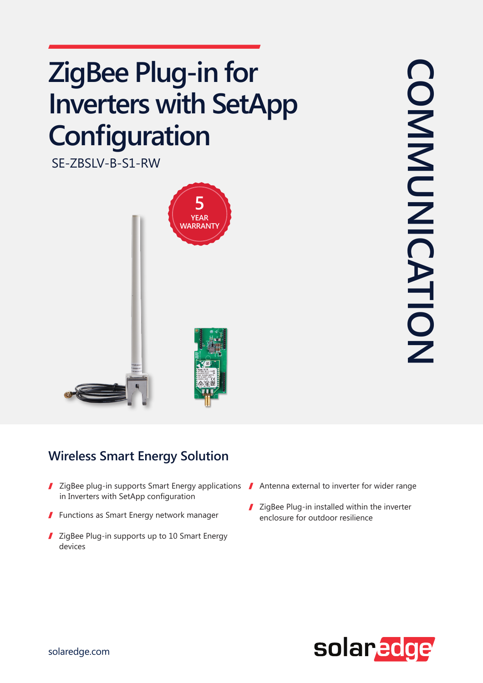## **ZigBee Plug-in for Inverters with SetApp Configuration**

SE-ZBSLV-B-S1-RW



## **Wireless Smart Energy Solution**

- ZigBee plug-in supports Smart Energy applications  $\blacksquare$  Antenna external to inverter for wider range in Inverters with SetApp configuration
- $\blacksquare$  Functions as Smart Energy network manager
- I ZigBee Plug-in supports up to 10 Smart Energy devices
- 
- ZigBee Plug-in installed within the inverter enclosure for outdoor resilience